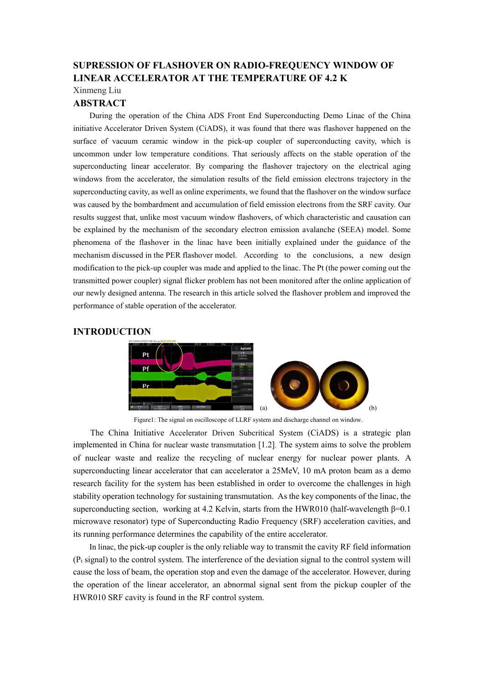# **SUPRESSION OF FLASHOVER ON RADIO-FREQUENCY WINDOW OF LINEAR ACCELERATOR AT THE TEMPERATURE OF 4.2 K**

Xinmeng Liu

## **ABSTRACT**

During the operation of the China ADS Front End Superconducting Demo Linac of the China initiative Accelerator Driven System (CiADS), it was found that there was flashover happened on the surface of vacuum ceramic window in the pick-up coupler of superconducting cavity, which is uncommon under low temperature conditions. That seriously affects on the stable operation of the superconducting linear accelerator. By comparing the flashover trajectory on the electrical aging windows from the accelerator, the simulation results of the field emission electrons trajectory in the superconducting cavity, as well as online experiments, we found that the flashover on the window surface was caused by the bombardment and accumulation of field emission electrons from the SRF cavity. Our results suggest that, unlike most vacuum window flashovers, of which characteristic and causation can be explained by the mechanism of the secondary electron emission avalanche (SEEA) model. Some phenomena of the flashover in the linac have been initially explained under the guidance of the mechanism discussed in the PER flashover model. According to the conclusions, a new design modification to the pick-up coupler was made and applied to the linac. The Pt (the power coming out the transmitted power coupler) signal flicker problem has not been monitored after the online application of our newly designed antenna. The research in this article solved the flashover problem and improved the performance of stable operation of the accelerator.

### **INTRODUCTION**



Figure1: The signal on oscilloscope of LLRF system and discharge channel on window.

The China Initiative Accelerator Driven Subcritical System (CiADS) is a strategic plan implemented in China for nuclear waste transmutation [1.2]. The system aims to solve the problem of nuclear waste and realize the recycling of nuclear energy for nuclear power plants. A superconducting linear accelerator that can accelerator a 25MeV, 10 mA proton beam as a demo research facility for the system has been established in order to overcome the challenges in high stability operation technology for sustaining transmutation. As the key components of the linac, the superconducting section, working at 4.2 Kelvin, starts from the HWR010 (half-wavelength  $\beta$ =0.1 microwave resonator) type of Superconducting Radio Frequency (SRF) acceleration cavities, and its running performance determines the capability of the entire accelerator.

In linac, the pick-up coupler is the only reliable way to transmit the cavity RF field information  $(P<sub>t</sub> signal)$  to the control system. The interference of the deviation signal to the control system will cause the loss of beam, the operation stop and even the damage of the accelerator. However, during the operation of the linear accelerator, an abnormal signal sent from the pickup coupler of the HWR010 SRF cavity is found in the RF control system.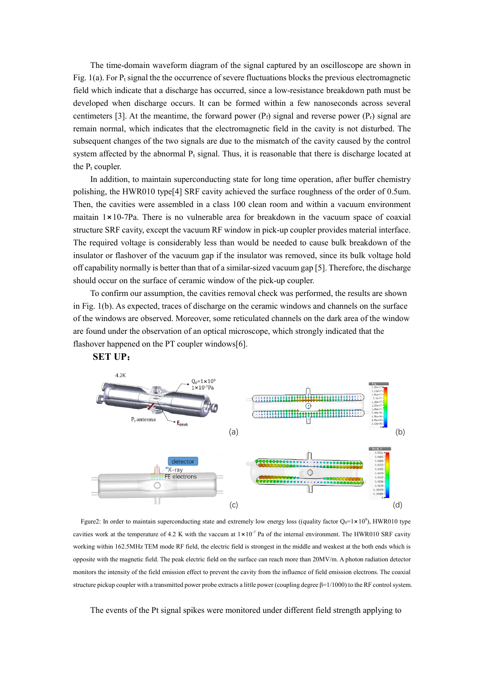The time-domain waveform diagram of the signal captured by an oscilloscope are shown in Fig. 1(a). For  $P_t$  signal the the occurrence of severe fluctuations blocks the previous electromagnetic field which indicate that a discharge has occurred, since a low-resistance breakdown path must be developed when discharge occurs. It can be formed within a few nanoseconds across several centimeters [3]. At the meantime, the forward power  $(P_f)$  signal and reverse power  $(P_f)$  signal are remain normal, which indicates that the electromagnetic field in the cavity is not disturbed. The subsequent changes of the two signals are due to the mismatch of the cavity caused by the control system affected by the abnormal  $P_t$  signal. Thus, it is reasonable that there is discharge located at the  $P_t$  coupler.

In addition, to maintain superconducting state for long time operation, after buffer chemistry polishing, the HWR010 type[4] SRF cavity achieved the surface roughness of the order of 0.5um. Then, the cavities were assembled in a class 100 clean room and within a vacuum environment maitain  $1 \times 10$ -7Pa. There is no vulnerable area for breakdown in the vacuum space of coaxial structure SRF cavity, except the vacuum RF window in pick-up coupler provides material interface. The required voltage is considerably less than would be needed to cause bulk breakdown of the insulator or flashover of the vacuum gap if the insulator was removed, since its bulk voltage hold off capability normally is better than that of a similar-sized vacuum gap [5]. Therefore, the discharge should occur on the surface of ceramic window of the pick-up coupler.

To confirm our assumption, the cavities removal check was performed, the results are shown in Fig. 1(b). As expected, traces of discharge on the ceramic windows and channels on the surface of the windows are observed. Moreover, some reticulated channels on the dark area of the window are found under the observation of an optical microscope, which strongly indicated that the flashover happened on the PT coupler windows[6].



**SET UP**:

Fgure2: In order to maintain superconducting state and extremely low energy loss ((quality factor  $Q_0=1 \times 10^9$ ), HWR010 type cavities work at the temperature of 4.2 K with the vaccum at  $1 \times 10^{-7}$  Pa of the internal environment. The HWR010 SRF cavity working within 162.5MHz TEM mode RF field, the electric field is strongest in the middle and weakest at the both ends which is opposite with the magnetic field. The peak electric field on the surface can reach more than 20MV/m. A photon radiation detector monitors the intensity of the field emission effect to prevent the cavity from the influence of field emission electrons. The coaxial structure pickup coupler with a transmitted power probe extracts a little power (coupling degree β=1/1000) to the RF control system.

The events of the Pt signal spikes were monitored under different field strength applying to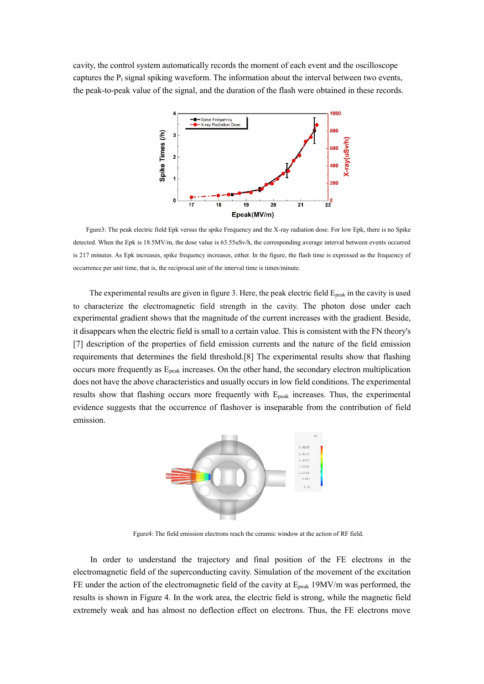cavity, the control system automatically records the moment of each event and the oscilloscope captures the  $P_t$  signal spiking waveform. The information about the interval between two events, the peak-to-peak value of the signal, and the duration of the flash were obtained in these records.



Fgure3: The peak electric field Epk versus the spike Frequency and the X-ray radiation dose. For low Epk, there is no Spike detected. When the Epk is 18.5MV/m, the dose value is 63.55uSv/h, the corresponding average interval between events occurred is 217 minutes. As Epk increases, spike frequency increases, either. In the figure, the flash time is expressed as the frequency of occurrence per unit time, that is, the reciprocal unit of the interval time is times/minute.

The experimental results are given in figure 3. Here, the peak electric field  $E_{peak}$  in the cavity is used to characterize the electromagnetic field strength in the cavity. The photon dose under each experimental gradient shows that the magnitude of the current increases with the gradient. Beside, it disappears when the electric field is small to a certain value. This is consistent with the FN theory's [7] description of the properties of field emission currents and the nature of the field emission requirements that determines the field threshold.[8] The experimental results show that flashing occurs more frequently as  $E_{peak}$  increases. On the other hand, the secondary electron multiplication does not have the above characteristics and usually occurs in low field conditions. The experimental results show that flashing occurs more frequently with E<sub>peak</sub> increases. Thus, the experimental evidence suggests that the occurrence of flashover is inseparable from the contribution of field emission.



Fgure4: The field emission electrons reach the ceramic window at the action of RF field.

In order to understand the trajectory and final position of the FE electrons in the electromagnetic field of the superconducting cavity. Simulation of the movement of the excitation FE under the action of the electromagnetic field of the cavity at  $E_{peak}$  19MV/m was performed, the results is shown in Figure 4. In the work area, the electric field is strong, while the magnetic field extremely weak and has almost no deflection effect on electrons. Thus, the FE electrons move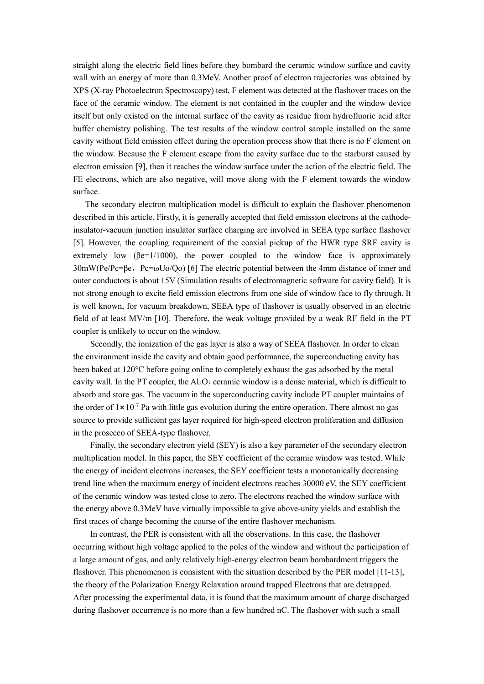straight along the electric field lines before they bombard the ceramic window surface and cavity wall with an energy of more than 0.3MeV. Another proof of electron trajectories was obtained by XPS (X-ray Photoelectron Spectroscopy) test, F element was detected at the flashover traces on the face of the ceramic window. The element is not contained in the coupler and the window device itself but only existed on the internal surface of the cavity as residue from hydrofluoric acid after buffer chemistry polishing. The test results of the window control sample installed on the same cavity without field emission effect during the operation process show that there is no F element on the window. Because the F element escape from the cavity surface due to the starburst caused by electron emission [9], then it reaches the window surface under the action of the electric field. The FE electrons, which are also negative, will move along with the F element towards the window surface.

The secondary electron multiplication model is difficult to explain the flashover phenomenon described in this article. Firstly, it is generally accepted that field emission electrons at the cathodeinsulator-vacuum junction insulator surface charging are involved in SEEA type surface flashover [5]. However, the coupling requirement of the coaxial pickup of the HWR type SRF cavity is extremely low ( $\beta e=1/1000$ ), the power coupled to the window face is approximately  $30 \text{mW}$ (Pe/Pc=βe, Pc=ωUo/Qo) [6] The electric potential between the 4mm distance of inner and outer conductors is about 15V (Simulation results of electromagnetic software for cavity field). It is not strong enough to excite field emission electrons from one side of window face to fly through. It is well known, for vacuum breakdown, SEEA type of flashover is usually observed in an electric field of at least MV/m [10]. Therefore, the weak voltage provided by a weak RF field in the PT coupler is unlikely to occur on the window.

Secondly, the ionization of the gas layer is also a way of SEEA flashover. In order to clean the environment inside the cavity and obtain good performance, the superconducting cavity has been baked at 120°C before going online to completely exhaust the gas adsorbed by the metal cavity wall. In the PT coupler, the  $A_1O_3$  ceramic window is a dense material, which is difficult to absorb and store gas. The vacuum in the superconducting cavity include PT coupler maintains of the order of  $1 \times 10^{-7}$  Pa with little gas evolution during the entire operation. There almost no gas source to provide sufficient gas layer required for high-speed electron proliferation and diffusion in the prosecco of SEEA-type flashover.

Finally, the secondary electron yield (SEY) is also a key parameter of the secondary electron multiplication model. In this paper, the SEY coefficient of the ceramic window was tested. While the energy of incident electrons increases, the SEY coefficient tests a monotonically decreasing trend line when the maximum energy of incident electrons reaches 30000 eV, the SEY coefficient of the ceramic window was tested close to zero. The electrons reached the window surface with the energy above 0.3MeV have virtually impossible to give above-unity yields and establish the first traces of charge becoming the course of the entire flashover mechanism.

In contrast, the PER is consistent with all the observations. In this case, the flashover occurring without high voltage applied to the poles of the window and without the participation of a large amount of gas, and only relatively high-energy electron beam bombardment triggers the flashover. This phenomenon is consistent with the situation described by the PER model [11-13], the theory of the Polarization Energy Relaxation around trapped Electrons that are detrapped. After processing the experimental data, it is found that the maximum amount of charge discharged during flashover occurrence is no more than a few hundred nC. The flashover with such a small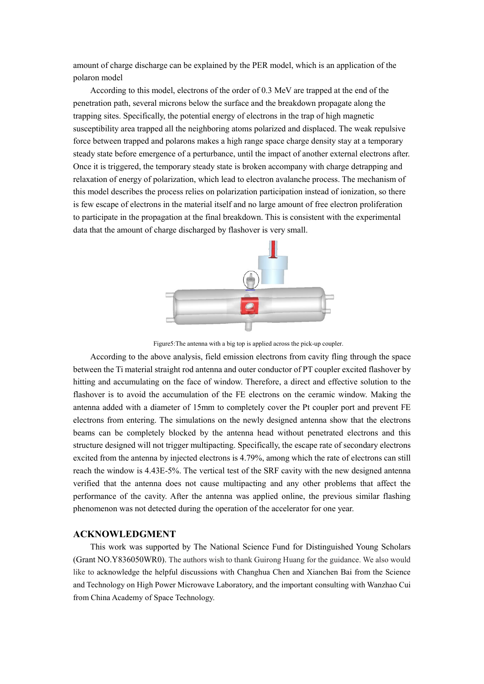amount of charge discharge can be explained by the PER model, which is an application of the polaron model

According to this model, electrons of the order of 0.3 MeV are trapped at the end of the penetration path, several microns below the surface and the breakdown propagate along the trapping sites. Specifically, the potential energy of electrons in the trap of high magnetic susceptibility area trapped all the neighboring atoms polarized and displaced. The weak repulsive force between trapped and polarons makes a high range space charge density stay at a temporary steady state before emergence of a perturbance, until the impact of another external electrons after. Once it is triggered, the temporary steady state is broken accompany with charge detrapping and relaxation of energy of polarization, which lead to electron avalanche process. The mechanism of this model describes the process relies on polarization participation instead of ionization, so there is few escape of electrons in the material itself and no large amount of free electron proliferation to participate in the propagation at the final breakdown. This is consistent with the experimental data that the amount of charge discharged by flashover is very small.



Figure5:The antenna with a big top is applied across the pick-up coupler.

According to the above analysis, field emission electrons from cavity fling through the space between the Ti material straight rod antenna and outer conductor of PT coupler excited flashover by hitting and accumulating on the face of window. Therefore, a direct and effective solution to the flashover is to avoid the accumulation of the FE electrons on the ceramic window. Making the antenna added with a diameter of 15mm to completely cover the Pt coupler port and prevent FE electrons from entering. The simulations on the newly designed antenna show that the electrons beams can be completely blocked by the antenna head without penetrated electrons and this structure designed will not trigger multipacting. Specifically, the escape rate of secondary electrons excited from the antenna by injected electrons is 4.79%, among which the rate of electrons can still reach the window is 4.43E-5%. The vertical test of the SRF cavity with the new designed antenna verified that the antenna does not cause multipacting and any other problems that affect the performance of the cavity. After the antenna was applied online, the previous similar flashing phenomenon was not detected during the operation of the accelerator for one year.

#### **ACKNOWLEDGMENT**

This work was supported by The National Science Fund for Distinguished Young Scholars (Grant NO.Y836050WR0). The authors wish to thank Guirong Huang for the guidance. We also would like to acknowledge the helpful discussions with Changhua Chen and Xianchen Bai from the Science and Technology on High Power Microwave Laboratory, and the important consulting with Wanzhao Cui from China Academy of Space Technology.